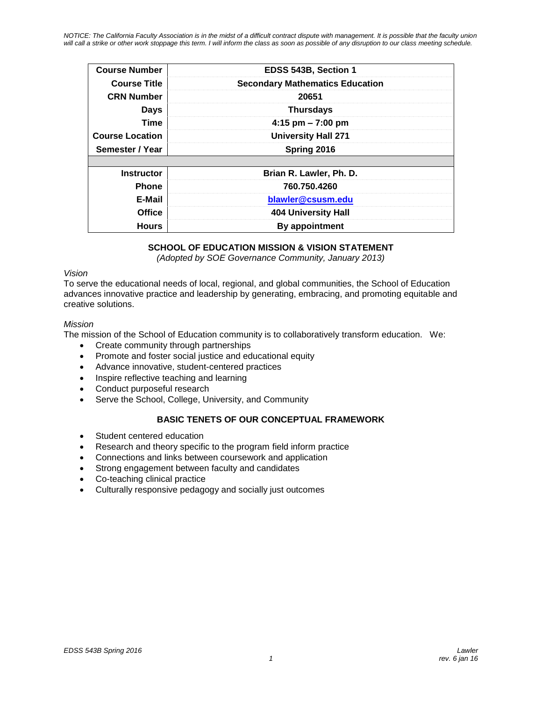*NOTICE: The California Faculty Association is in the midst of a difficult contract dispute with management. It is possible that the faculty union will call a strike or other work stoppage this term. I will inform the class as soon as possible of any disruption to our class meeting schedule.*

| <b>Course Number</b>   | EDSS 543B, Section 1                   |
|------------------------|----------------------------------------|
|                        |                                        |
| <b>Course Title</b>    | <b>Secondary Mathematics Education</b> |
| <b>CRN Number</b>      | 20651                                  |
| <b>Days</b>            | <b>Thursdays</b>                       |
| <b>Time</b>            | 4:15 pm $- 7:00$ pm                    |
| <b>Course Location</b> | <b>University Hall 271</b>             |
| Semester / Year        | Spring 2016                            |
|                        |                                        |
| <b>Instructor</b>      | Brian R. Lawler, Ph. D.                |
| <b>Phone</b>           | 760.750.4260                           |
| E-Mail                 | blawler@csusm.edu                      |
| Office                 | 404 University Hall                    |
| <b>Hours</b>           | By appointment                         |

# **SCHOOL OF EDUCATION MISSION & VISION STATEMENT**

*(Adopted by SOE Governance Community, January 2013)*

#### *Vision*

To serve the educational needs of local, regional, and global communities, the School of Education advances innovative practice and leadership by generating, embracing, and promoting equitable and creative solutions.

### *Mission*

The mission of the School of Education community is to collaboratively transform education. We:

- Create community through partnerships
- Promote and foster social justice and educational equity
- Advance innovative, student-centered practices
- Inspire reflective teaching and learning
- Conduct purposeful research
- Serve the School, College, University, and Community

### **BASIC TENETS OF OUR CONCEPTUAL FRAMEWORK**

- Student centered education
- Research and theory specific to the program field inform practice
- Connections and links between coursework and application
- Strong engagement between faculty and candidates
- Co-teaching clinical practice
- Culturally responsive pedagogy and socially just outcomes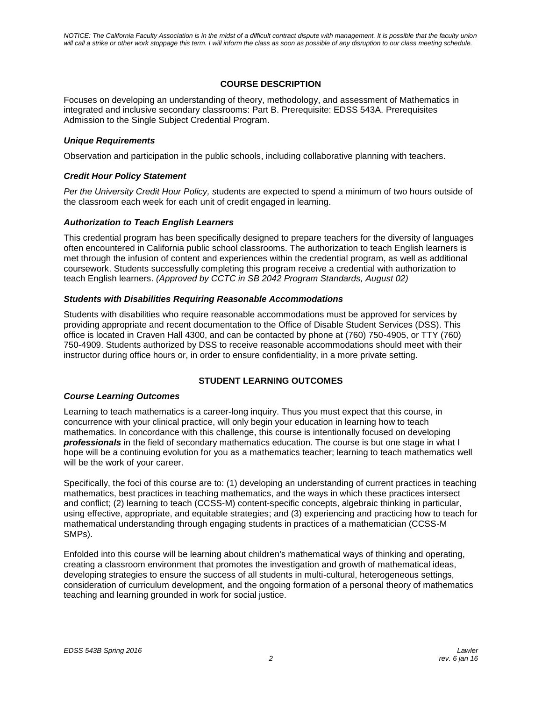## **COURSE DESCRIPTION**

Focuses on developing an understanding of theory, methodology, and assessment of Mathematics in integrated and inclusive secondary classrooms: Part B. Prerequisite: EDSS 543A. Prerequisites Admission to the Single Subject Credential Program.

### *Unique Requirements*

Observation and participation in the public schools, including collaborative planning with teachers.

### *Credit Hour Policy Statement*

*Per the University Credit Hour Policy, s*tudents are expected to spend a minimum of two hours outside of the classroom each week for each unit of credit engaged in learning.

### *Authorization to Teach English Learners*

This credential program has been specifically designed to prepare teachers for the diversity of languages often encountered in California public school classrooms. The authorization to teach English learners is met through the infusion of content and experiences within the credential program, as well as additional coursework. Students successfully completing this program receive a credential with authorization to teach English learners. *(Approved by CCTC in SB 2042 Program Standards, August 02)*

### *Students with Disabilities Requiring Reasonable Accommodations*

Students with disabilities who require reasonable accommodations must be approved for services by providing appropriate and recent documentation to the Office of Disable Student Services (DSS). This office is located in Craven Hall 4300, and can be contacted by phone at (760) 750-4905, or TTY (760) 750-4909. Students authorized by DSS to receive reasonable accommodations should meet with their instructor during office hours or, in order to ensure confidentiality, in a more private setting.

### **STUDENT LEARNING OUTCOMES**

### *Course Learning Outcomes*

Learning to teach mathematics is a career-long inquiry. Thus you must expect that this course, in concurrence with your clinical practice, will only begin your education in learning how to teach mathematics. In concordance with this challenge, this course is intentionally focused on developing *professionals* in the field of secondary mathematics education. The course is but one stage in what I hope will be a continuing evolution for you as a mathematics teacher; learning to teach mathematics well will be the work of your career.

Specifically, the foci of this course are to: (1) developing an understanding of current practices in teaching mathematics, best practices in teaching mathematics, and the ways in which these practices intersect and conflict; (2) learning to teach (CCSS-M) content-specific concepts, algebraic thinking in particular, using effective, appropriate, and equitable strategies; and (3) experiencing and practicing how to teach for mathematical understanding through engaging students in practices of a mathematician (CCSS-M SMPs).

Enfolded into this course will be learning about children's mathematical ways of thinking and operating, creating a classroom environment that promotes the investigation and growth of mathematical ideas, developing strategies to ensure the success of all students in multi-cultural, heterogeneous settings, consideration of curriculum development, and the ongoing formation of a personal theory of mathematics teaching and learning grounded in work for social justice.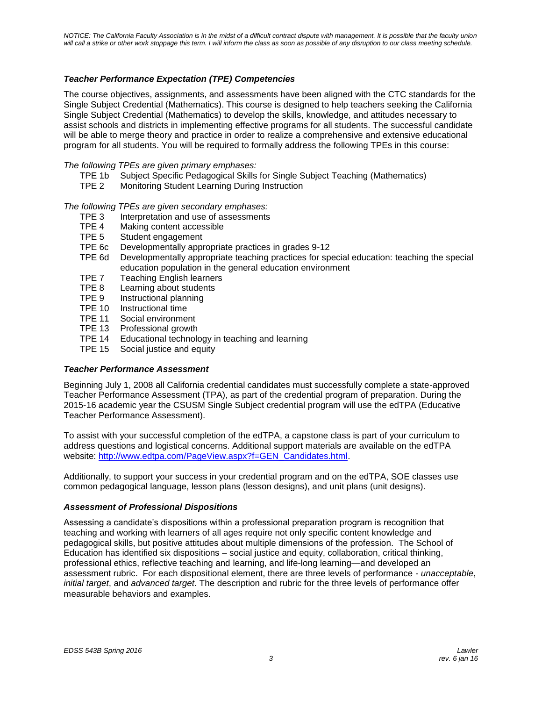## *Teacher Performance Expectation (TPE) Competencies*

The course objectives, assignments, and assessments have been aligned with the CTC standards for the Single Subject Credential (Mathematics). This course is designed to help teachers seeking the California Single Subject Credential (Mathematics) to develop the skills, knowledge, and attitudes necessary to assist schools and districts in implementing effective programs for all students. The successful candidate will be able to merge theory and practice in order to realize a comprehensive and extensive educational program for all students. You will be required to formally address the following TPEs in this course:

#### *The following TPEs are given primary emphases:*

- TPE 1b Subject Specific Pedagogical Skills for Single Subject Teaching (Mathematics)
- TPE 2 Monitoring Student Learning During Instruction

*The following TPEs are given secondary emphases:*

- TPE 3 Interpretation and use of assessments
- TPE 4 Making content accessible
- TPE 5 Student engagement
- TPE 6c Developmentally appropriate practices in grades 9-12
- TPE 6d Developmentally appropriate teaching practices for special education: teaching the special education population in the general education environment
- TPE 7 Teaching English learners
- TPE 8 Learning about students
- TPE 9 Instructional planning
- TPE 10 Instructional time
- TPE 11 Social environment
- TPE 13 Professional growth
- TPE 14 Educational technology in teaching and learning
- TPE 15 Social justice and equity

#### *Teacher Performance Assessment*

Beginning July 1, 2008 all California credential candidates must successfully complete a state-approved Teacher Performance Assessment (TPA), as part of the credential program of preparation. During the 2015-16 academic year the CSUSM Single Subject credential program will use the edTPA (Educative Teacher Performance Assessment).

To assist with your successful completion of the edTPA, a capstone class is part of your curriculum to address questions and logistical concerns. Additional support materials are available on the edTPA website: [http://www.edtpa.com/PageView.aspx?f=GEN\\_Candidates.html.](http://www.edtpa.com/PageView.aspx?f=GEN_Candidates.html)

Additionally, to support your success in your credential program and on the edTPA, SOE classes use common pedagogical language, lesson plans (lesson designs), and unit plans (unit designs).

#### *Assessment of Professional Dispositions*

Assessing a candidate's dispositions within a professional preparation program is recognition that teaching and working with learners of all ages require not only specific content knowledge and pedagogical skills, but positive attitudes about multiple dimensions of the profession. The School of Education has identified six dispositions – social justice and equity, collaboration, critical thinking, professional ethics, reflective teaching and learning, and life-long learning—and developed an assessment rubric. For each dispositional element, there are three levels of performance - *unacceptable*, *initial target*, and *advanced target*. The description and rubric for the three levels of performance offer measurable behaviors and examples.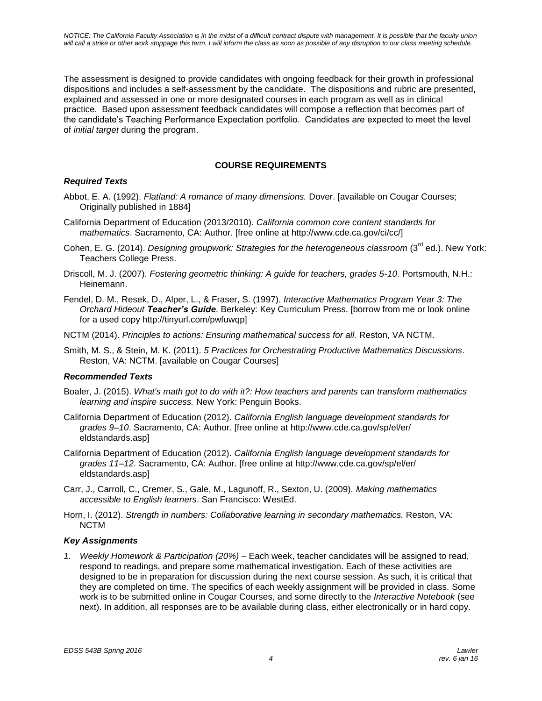The assessment is designed to provide candidates with ongoing feedback for their growth in professional dispositions and includes a self-assessment by the candidate. The dispositions and rubric are presented, explained and assessed in one or more designated courses in each program as well as in clinical practice. Based upon assessment feedback candidates will compose a reflection that becomes part of the candidate's Teaching Performance Expectation portfolio. Candidates are expected to meet the level of *initial target* during the program.

# **COURSE REQUIREMENTS**

### *Required Texts*

- Abbot, E. A. (1992). *Flatland: A romance of many dimensions.* Dover. [available on Cougar Courses; Originally published in 1884]
- California Department of Education (2013/2010). *California common core content standards for mathematics*. Sacramento, CA: Author. [free online at http://www.cde.ca.gov/ci/cc/]
- Cohen, E. G. (2014). *Designing groupwork: Strategies for the heterogeneous classroom* (3<sup>rd</sup> ed.). New York: Teachers College Press.
- Driscoll, M. J. (2007). *Fostering geometric thinking: A guide for teachers, grades 5-10*. Portsmouth, N.H.: Heinemann.
- Fendel, D. M., Resek, D., Alper, L., & Fraser, S. (1997). *Interactive Mathematics Program Year 3: The Orchard Hideout Teacher's Guide*. Berkeley: Key Curriculum Press. [borrow from me or look online for a used copy http://tinyurl.com/pwfuwqp]
- NCTM (2014). *Principles to actions: Ensuring mathematical success for all.* Reston, VA NCTM.
- Smith, M. S., & Stein, M. K. (2011). *5 Practices for Orchestrating Productive Mathematics Discussions*. Reston, VA: NCTM. [available on Cougar Courses]

### *Recommended Texts*

- Boaler, J. (2015). *What's math got to do with it?: How teachers and parents can transform mathematics learning and inspire success.* New York: Penguin Books.
- California Department of Education (2012). *California English language development standards for grades 9–10*. Sacramento, CA: Author. [free online at http://www.cde.ca.gov/sp/el/er/ eldstandards.asp]
- California Department of Education (2012). *California English language development standards for grades 11–12*. Sacramento, CA: Author. [free online at http://www.cde.ca.gov/sp/el/er/ eldstandards.asp]
- Carr, J., Carroll, C., Cremer, S., Gale, M., Lagunoff, R., Sexton, U. (2009). *Making mathematics accessible to English learners*. San Francisco: WestEd.
- Horn, I. (2012). *Strength in numbers: Collaborative learning in secondary mathematics.* Reston, VA: NCTM

### *Key Assignments*

*1. Weekly Homework & Participation (20%)* – Each week, teacher candidates will be assigned to read, respond to readings, and prepare some mathematical investigation. Each of these activities are designed to be in preparation for discussion during the next course session. As such, it is critical that they are completed on time. The specifics of each weekly assignment will be provided in class. Some work is to be submitted online in Cougar Courses, and some directly to the *Interactive Notebook* (see next). In addition, all responses are to be available during class, either electronically or in hard copy.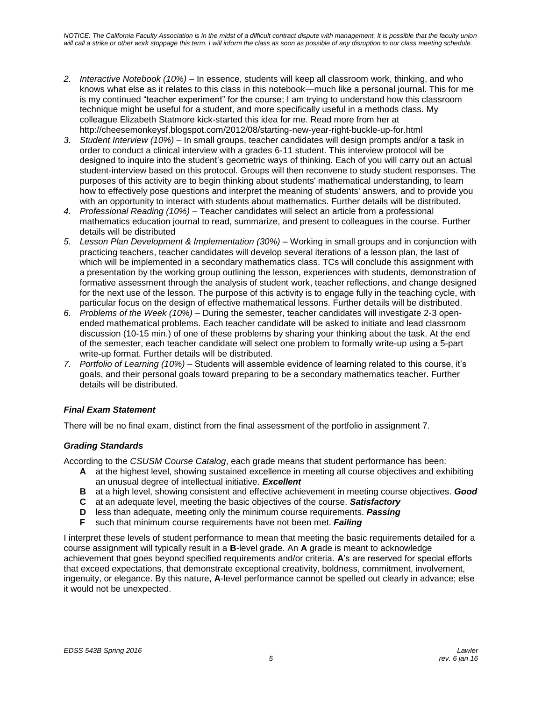- *2. Interactive Notebook (10%)*  In essence, students will keep all classroom work, thinking, and who knows what else as it relates to this class in this notebook—much like a personal journal. This for me is my continued "teacher experiment" for the course; I am trying to understand how this classroom technique might be useful for a student, and more specifically useful in a methods class. My colleague Elizabeth Statmore kick-started this idea for me. Read more from her at http://cheesemonkeysf.blogspot.com/2012/08/starting-new-year-right-buckle-up-for.html
- *3. Student Interview (10%)* In small groups, teacher candidates will design prompts and/or a task in order to conduct a clinical interview with a grades 6-11 student. This interview protocol will be designed to inquire into the student's geometric ways of thinking. Each of you will carry out an actual student-interview based on this protocol. Groups will then reconvene to study student responses. The purposes of this activity are to begin thinking about students' mathematical understanding, to learn how to effectively pose questions and interpret the meaning of students' answers, and to provide you with an opportunity to interact with students about mathematics. Further details will be distributed.
- *4. Professional Reading (10%)* Teacher candidates will select an article from a professional mathematics education journal to read, summarize, and present to colleagues in the course. Further details will be distributed
- *5. Lesson Plan Development & Implementation (30%)* Working in small groups and in conjunction with practicing teachers, teacher candidates will develop several iterations of a lesson plan, the last of which will be implemented in a secondary mathematics class. TCs will conclude this assignment with a presentation by the working group outlining the lesson, experiences with students, demonstration of formative assessment through the analysis of student work, teacher reflections, and change designed for the next use of the lesson. The purpose of this activity is to engage fully in the teaching cycle, with particular focus on the design of effective mathematical lessons. Further details will be distributed.
- *6. Problems of the Week (10%)* During the semester, teacher candidates will investigate 2-3 openended mathematical problems. Each teacher candidate will be asked to initiate and lead classroom discussion (10-15 min.) of one of these problems by sharing your thinking about the task. At the end of the semester, each teacher candidate will select one problem to formally write-up using a 5-part write-up format. Further details will be distributed.
- *7. Portfolio of Learning (10%)* Students will assemble evidence of learning related to this course, it's goals, and their personal goals toward preparing to be a secondary mathematics teacher. Further details will be distributed.

# *Final Exam Statement*

There will be no final exam, distinct from the final assessment of the portfolio in assignment 7.

# *Grading Standards*

According to the *CSUSM Course Catalog*, each grade means that student performance has been:

- **A** at the highest level, showing sustained excellence in meeting all course objectives and exhibiting an unusual degree of intellectual initiative. *Excellent*
- **B** at a high level, showing consistent and effective achievement in meeting course objectives. *Good*
- **C** at an adequate level, meeting the basic objectives of the course. *Satisfactory*
- **D** less than adequate, meeting only the minimum course requirements. *Passing*
- **F** such that minimum course requirements have not been met. *Failing*

I interpret these levels of student performance to mean that meeting the basic requirements detailed for a course assignment will typically result in a **B**-level grade. An **A** grade is meant to acknowledge achievement that goes beyond specified requirements and/or criteria. **A**'s are reserved for special efforts that exceed expectations, that demonstrate exceptional creativity, boldness, commitment, involvement, ingenuity, or elegance. By this nature, **A**-level performance cannot be spelled out clearly in advance; else it would not be unexpected.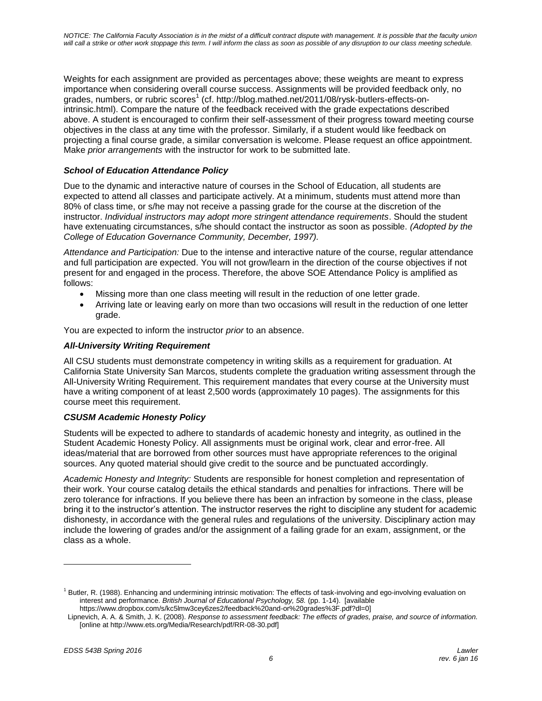Weights for each assignment are provided as percentages above; these weights are meant to express importance when considering overall course success. Assignments will be provided feedback only, no grades, numbers, or rubric scores<sup>1</sup> (cf. http://blog.mathed.net/2011/08/rysk-butlers-effects-onintrinsic.html). Compare the nature of the feedback received with the grade expectations described above. A student is encouraged to confirm their self-assessment of their progress toward meeting course objectives in the class at any time with the professor. Similarly, if a student would like feedback on projecting a final course grade, a similar conversation is welcome. Please request an office appointment. Make *prior arrangements* with the instructor for work to be submitted late.

# *School of Education Attendance Policy*

Due to the dynamic and interactive nature of courses in the School of Education, all students are expected to attend all classes and participate actively. At a minimum, students must attend more than 80% of class time, or s/he may not receive a passing grade for the course at the discretion of the instructor. *Individual instructors may adopt more stringent attendance requirements*. Should the student have extenuating circumstances, s/he should contact the instructor as soon as possible. *(Adopted by the College of Education Governance Community, December, 1997).*

*Attendance and Participation:* Due to the intense and interactive nature of the course, regular attendance and full participation are expected. You will not grow/learn in the direction of the course objectives if not present for and engaged in the process. Therefore, the above SOE Attendance Policy is amplified as follows:

- Missing more than one class meeting will result in the reduction of one letter grade.
- Arriving late or leaving early on more than two occasions will result in the reduction of one letter grade.

You are expected to inform the instructor *prior* to an absence.

## *All-University Writing Requirement*

All CSU students must demonstrate competency in writing skills as a requirement for graduation. At California State University San Marcos, students complete the graduation writing assessment through the All-University Writing Requirement. This requirement mandates that every course at the University must have a writing component of at least 2,500 words (approximately 10 pages). The assignments for this course meet this requirement.

### *CSUSM Academic Honesty Policy*

Students will be expected to adhere to standards of academic honesty and integrity, as outlined in the Student Academic Honesty Policy. All assignments must be original work, clear and error-free. All ideas/material that are borrowed from other sources must have appropriate references to the original sources. Any quoted material should give credit to the source and be punctuated accordingly.

*Academic Honesty and Integrity:* Students are responsible for honest completion and representation of their work. Your course catalog details the ethical standards and penalties for infractions. There will be zero tolerance for infractions. If you believe there has been an infraction by someone in the class, please bring it to the instructor's attention. The instructor reserves the right to discipline any student for academic dishonesty, in accordance with the general rules and regulations of the university. Disciplinary action may include the lowering of grades and/or the assignment of a failing grade for an exam, assignment, or the class as a whole.

l

 $1$  Butler, R. (1988). Enhancing and undermining intrinsic motivation: The effects of task-involving and ego-involving evaluation on interest and performance. *British Journal of Educational Psychology, 58.* (pp. 1-14). [available https://www.dropbox.com/s/kc5lmw3cey6zes2/feedback%20and-or%20grades%3F.pdf?dl=0]

Lipnevich, A. A. & Smith, J. K. (2008). *Response to assessment feedback: The effects of grades, praise, and source of information.* [online at http://www.ets.org/Media/Research/pdf/RR-08-30.pdf]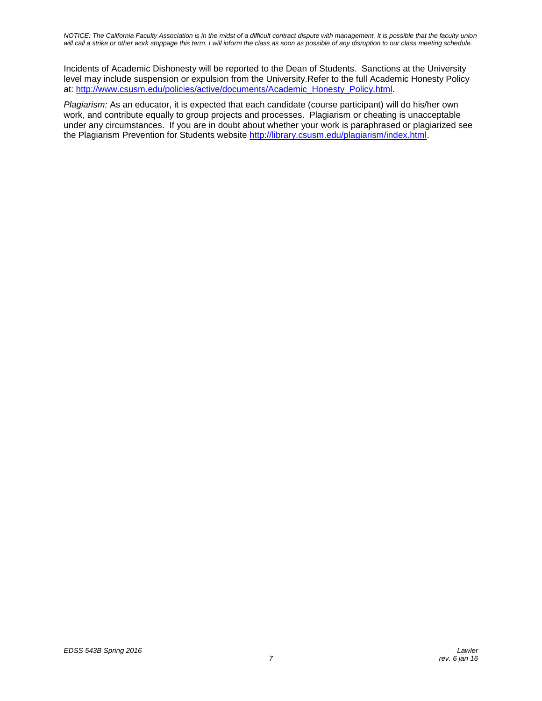*NOTICE: The California Faculty Association is in the midst of a difficult contract dispute with management. It is possible that the faculty union will call a strike or other work stoppage this term. I will inform the class as soon as possible of any disruption to our class meeting schedule.*

Incidents of Academic Dishonesty will be reported to the Dean of Students. Sanctions at the University level may include suspension or expulsion from the University.Refer to the full Academic Honesty Policy at: [http://www.csusm.edu/policies/active/documents/Academic\\_Honesty\\_Policy.html.](http://www.csusm.edu/policies/active/documents/Academic_Honesty_Policy.html)

*Plagiarism:* As an educator, it is expected that each candidate (course participant) will do his/her own work, and contribute equally to group projects and processes. Plagiarism or cheating is unacceptable under any circumstances. If you are in doubt about whether your work is paraphrased or plagiarized see the Plagiarism Prevention for Students website [http://library.csusm.edu/plagiarism/index.html.](http://library.csusm.edu/plagiarism/index.html)